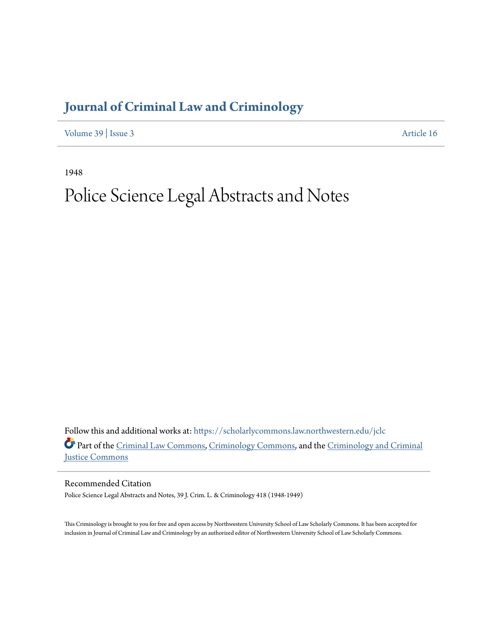## **[Journal of Criminal Law and Criminology](https://scholarlycommons.law.northwestern.edu/jclc?utm_source=scholarlycommons.law.northwestern.edu%2Fjclc%2Fvol39%2Fiss3%2F16&utm_medium=PDF&utm_campaign=PDFCoverPages)**

[Volume 39](https://scholarlycommons.law.northwestern.edu/jclc/vol39?utm_source=scholarlycommons.law.northwestern.edu%2Fjclc%2Fvol39%2Fiss3%2F16&utm_medium=PDF&utm_campaign=PDFCoverPages) | [Issue 3](https://scholarlycommons.law.northwestern.edu/jclc/vol39/iss3?utm_source=scholarlycommons.law.northwestern.edu%2Fjclc%2Fvol39%2Fiss3%2F16&utm_medium=PDF&utm_campaign=PDFCoverPages) [Article 16](https://scholarlycommons.law.northwestern.edu/jclc/vol39/iss3/16?utm_source=scholarlycommons.law.northwestern.edu%2Fjclc%2Fvol39%2Fiss3%2F16&utm_medium=PDF&utm_campaign=PDFCoverPages)

1948

## Police Science Legal Abstracts and Notes

Follow this and additional works at: [https://scholarlycommons.law.northwestern.edu/jclc](https://scholarlycommons.law.northwestern.edu/jclc?utm_source=scholarlycommons.law.northwestern.edu%2Fjclc%2Fvol39%2Fiss3%2F16&utm_medium=PDF&utm_campaign=PDFCoverPages) Part of the [Criminal Law Commons](http://network.bepress.com/hgg/discipline/912?utm_source=scholarlycommons.law.northwestern.edu%2Fjclc%2Fvol39%2Fiss3%2F16&utm_medium=PDF&utm_campaign=PDFCoverPages), [Criminology Commons](http://network.bepress.com/hgg/discipline/417?utm_source=scholarlycommons.law.northwestern.edu%2Fjclc%2Fvol39%2Fiss3%2F16&utm_medium=PDF&utm_campaign=PDFCoverPages), and the [Criminology and Criminal](http://network.bepress.com/hgg/discipline/367?utm_source=scholarlycommons.law.northwestern.edu%2Fjclc%2Fvol39%2Fiss3%2F16&utm_medium=PDF&utm_campaign=PDFCoverPages) [Justice Commons](http://network.bepress.com/hgg/discipline/367?utm_source=scholarlycommons.law.northwestern.edu%2Fjclc%2Fvol39%2Fiss3%2F16&utm_medium=PDF&utm_campaign=PDFCoverPages)

Recommended Citation

Police Science Legal Abstracts and Notes, 39 J. Crim. L. & Criminology 418 (1948-1949)

This Criminology is brought to you for free and open access by Northwestern University School of Law Scholarly Commons. It has been accepted for inclusion in Journal of Criminal Law and Criminology by an authorized editor of Northwestern University School of Law Scholarly Commons.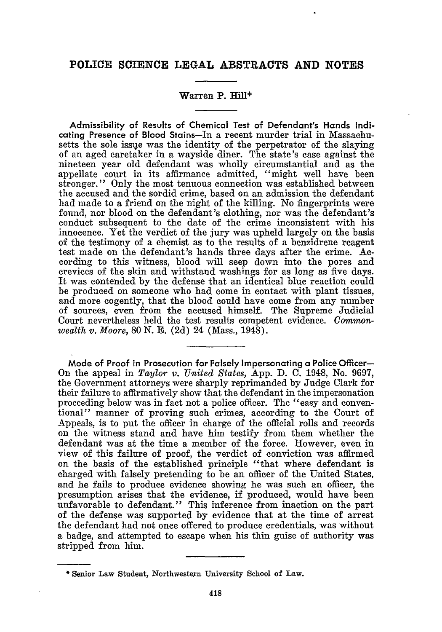## **POLICE SCIENCE LEGAL ABSTRACTS AND NOTES**

## **Warren P. Hil\***

Admissibility of Results of Chemical Test of Defendant's Hands Indicating Presence of Blood Stains-In a recent murder trial in Massachusetts the sole issue was the identity of the perpetrator of the slaying of an aged caretaker in a wayside diner. The state's case against the nineteen year old defendant was wholly circumstantial and as the appellate court in its affirmance admitted, "might well have been stronger." Only the most tenuous connection was established between the accused and the sordid crime, based on an admission the defendant had made to a friend on the night of the killing. No fingerprints were found, nor blood on the defendant's clothing, nor was the defendant's conduct subsequent to the date of the crime inconsistent with his innocence. Yet the verdict of the jury was upheld largely on the basis of the testimony of a chemist as to the results of a benzidrene reagent test made on the defendant's hands three days after the crime. According to this witness, blood will seep down into the pores and crevices of the skin and withstand washings for as long as five days. It was contended by the defense that an identical blue reaction could be produced on someone who had come in contact with plant tissues, and more cogently, that the blood could have come from any number of sources, even from the accused himself. The Supreme Judicial Court nevertheless held the test results competent evidence. *Commonwealth v. Moore,* 80 N. E. (2d) 24 (Mass., 1948).

Mode of Proof in Prosecution for Falsely Impersonating **a** Police Officer-On the appeal in *Taylor v. United States,* App. D. C. 1948, No. 9697, the Government attorneys were sharply reprimanded by Judge Clark for their failure to affirmatively show that the defendant in the impersonation proceeding below was in fact not a police officer. The "easy and conventional" manner of proving such crimes, according to the Court of Appeals, is to put the officer in charge of the official rolls and records on the witness stand and have him testify from them whether the defendant was at the time a member of the force. However, even in view of this failure of proof, the verdict of conviction was affirmed on the basis of the established principle "that where defendant is charged with falsely pretending to be an officer of the United States, and he fails to produce evidence showing he was such an officer, the presumption arises that the evidence, if produced, would have been unfavorable to defendant." This inference from inaction on the part of the defense was supported by evidence that at the time of arrest the defendant had not once offered to produce credentials, was without a badge, and attempted to escape when his thin guise of authority was stripped from him.

<sup>\*</sup> Senior Law Student, Northwestern University School of Law.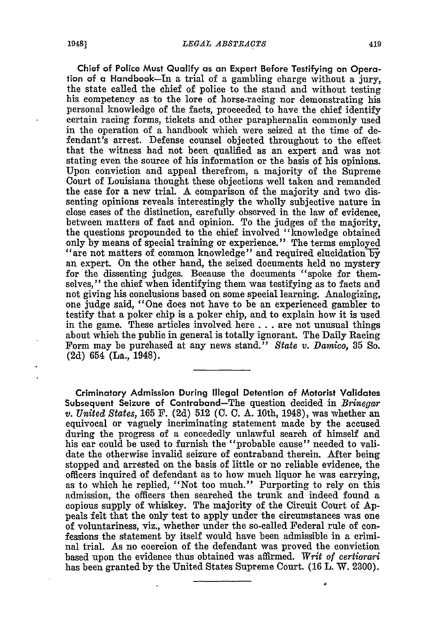Chief of Police Must Qualify as an Expert Before Testifying on Operation of a Handbook-In a trial of a gambling charge without a jury, the state called the chief of police to the stand and without testing his competency as to the lore of horse-racing nor demonstrating his personal knowledge of the facts, proceeded to have the chief identify certain racing forms, tickets and other paraphernalia commonly used in the operation of a handbook which were seized at the time of defendant's arrest. Defense counsel objected throughout to the effect that the witness had not been qualified as an expert and was not stating even the source of his information or the basis of his opinions. Upon conviction and appeal therefrom, a majority of the Supreme Court of Louisiana thought these objections well taken and remanded the case for a new trial. A comparison of the majority and two dissenting opinions reveals interestingly the wholly subjective nature **in** close cases of the distinction, carefully observed in the law of evidence, between matters of fact and opinion. To the judges of the majority, the questions propounded to the chief involved "knowledge obtained only by means of special training or experience." The terms employed "are not matters of common knowledge" and required elucidation by an expert. On the other hand, the seized documents held no mystery for the dissenting judges. Because the documents "spoke for themselves," the chief when identifying them was testifying as to facts and not giving his conclusions based on some special learning. Analogizing, one judge said, "One does not have to be an experienced gambler to testify that a poker chip is a poker chip, and to explain how it is used in the game. These articles involved here **...** are not unusual things about which the public in general is totally ignorant. The Daily Racing Form may be purchased at any news stand." *State v. Damico,* **35** So. **(2d)** 654 (La., 1948).

Criminatory Admission During Illegal Detention of Motorist Validates Subsequent Seizure of Contraband-The question decided in *Brinegar v. United States,* **165** F. (2d) **512 (C. C. A.** 10th, 1948), was whether an equivocal or vaguely incriminating statement made by the accused during the progress of a concededly unlawful search of himself and his car could be used to furnish the "probable cause" needed to validate the otherwise invalid seizure of contraband therein. After being stopped and arrested on the basis of little or no reliable evidence, the officers inquired of defendant as to how much liquor he was carrying, as to which he replied, "Not too much." Purporting to rely on this admission, the officers then searched the trunk and indeed found a copious supply of whiskey. The majority of the Circuit Court of Appeals felt that the only test to apply under the circumstances was one of voluntariness, viz., whether under the so-called Federal rule of confessions the statement by itself would have been admissible in a criminal trial. As no coercion of the defendant was proved the conviction based upon the evidence thus obtained was affirmed. *Writ of certiorari* has been granted by the United States Supreme Court. (16 L. W. 2300).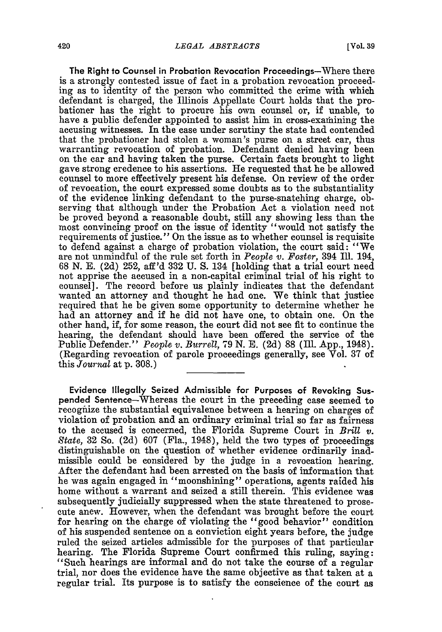**The** Right to Counsel in Probation Revocation Proceedings-Where there is a strongly contested issue of fact in a probation revocation proceeding as to identity of the person who committed the crime with which defendant is charged, the Illinois Appellate Court holds that the probationer has the right to procure his own counsel or, if unable, to have a public defender appointed to assist him in cross-examining the accusing witnesses. In the case under scrutiny the state had contended that the probationer had stolen a woman's purse on a street car, thus warranting revocation of probation. Defendant denied having been on the car and having taken the purse. Certain facts brought to light gave strong credence to his assertions. He requested that he be allowed counsel to more effectively present his defense. On review of the order of revocation, the court expressed some doubts as to the substantiality of the evidence linking defendant to the purse-snatching charge, observing that although under the Probation Act a violation need not be proved beyond a reasonable doubt, still any showing less than the most convincing proof on the issue of identity "would not satisfy the requirements of justice." On the issue as to whether counsel is requisite to defend against a charge of probation violation, the court said: "We are not unmindful of the rule set forth in *People v. Poster,* 394 II. 194, 68 N. E. (2d) 252, aff'd 332 U. S. 134 [holding that a trial court need not apprise the accused in a non-capital criminal trial of his right to counsel]. The record before us plainly indicates that the defendant wanted an attorney and thought he had one. We think that justice required that he be given some opportunity to determine whether he had an attorney and if he did not have one, to obtain one. On the other hand, if, for some reason, the court did not see fit to continue the hearing, the defendant should have been offered the service of the Public Defender." *People v. Burrell,* 79 N. **E.** (2d) 88 (Ill. App., 1948). (Regarding revocation of parole proceedings generally, see  $\bar{V}$ ol. 37 of this *Journal* at p. 308.)

Evidence Illegally Seized Admissible for Purposes of Revoking Suspended Sentence-Whereas the court in the preceding case seemed to recognize the substantial equivalence between a hearing on charges of violation of probation and an ordinary criminal trial so far as fairness to the accused is concerned, the Florida Supreme Court in Brill *v. State,* 32 So. (2d) 607 (Fla., 1948), held the two types of proceedings distinguishable on the question of whether evidence ordinarily inadmissible could be considered by the judge in a revocation hearing. After the defendant had been arrested on the basis of information that he was again engaged in "moonshining" operations, agents raided his home without a warrant and seized a still therein. This evidence was subsequently judicially suppressed when the state threatened to prosecute anew. However, when the defendant was brought before the court for hearing on the charge of violating the "good behavior" condition of his suspended sentence on a conviction eight years before, the judge ruled the seized articles admissible for the purposes of that particular hearing. The Florida Supreme Court confirmed this ruling, saying: "Such hearings are informal and do not take the course of a regular trial, nor does the evidence have the same objective as that taken at a regular trial. Its purpose is to satisfy the conscience of the court as